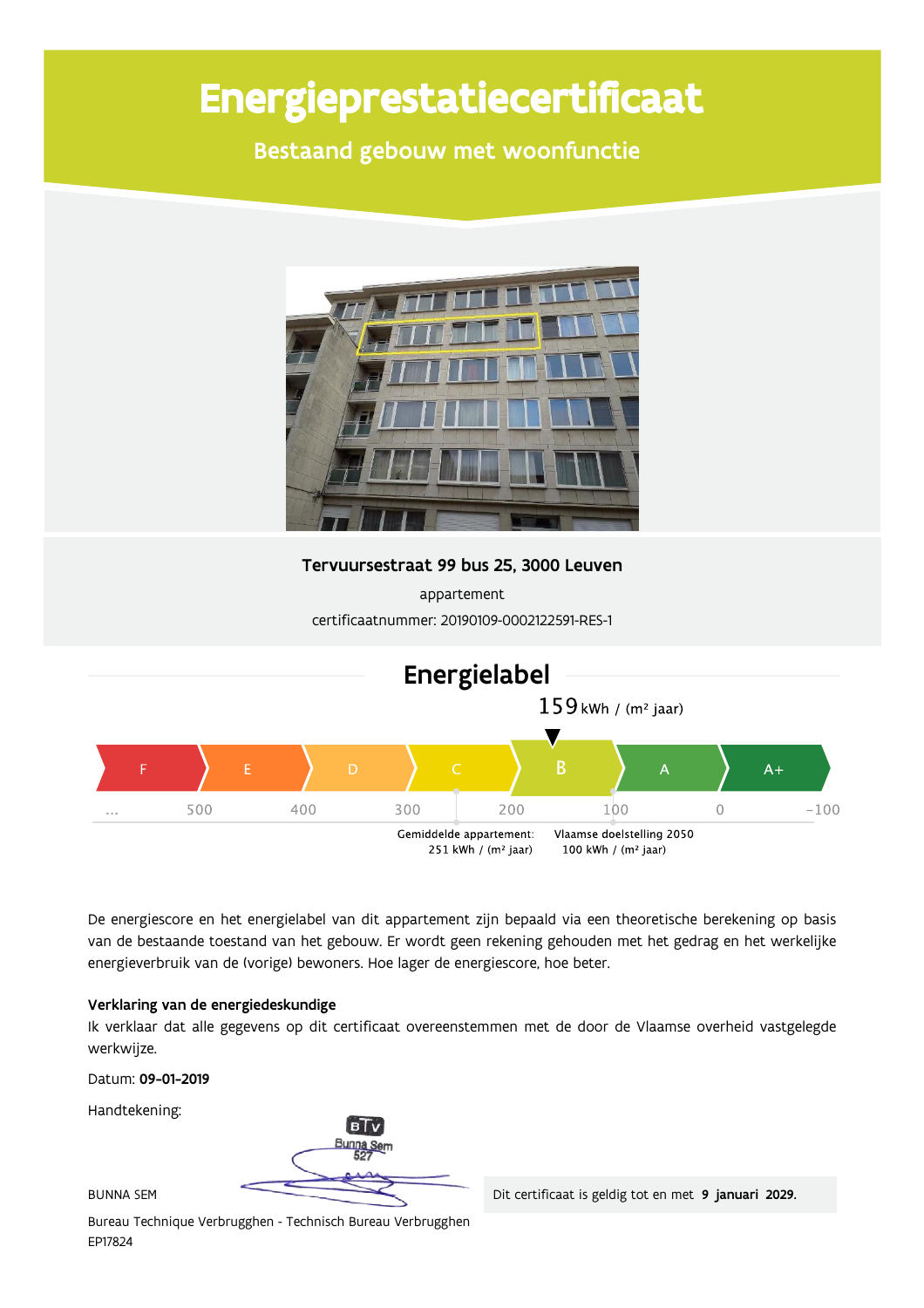# Energieprestatiecertificaat

Bestaand gebouw met woonfunctie



Tervuursestraat 99 bus 25, 3000 Leuven

appartement certificaatnummer: 20190109-0002122591-RES-1



De energiescore en het energielabel van dit appartement zijn bepaald via een theoretische berekening op basis van de bestaande toestand van het gebouw. Er wordt geen rekening gehouden met het gedrag en het werkelijke energieverbruik van de (vorige) bewoners. Hoe lager de energiescore, hoe beter.

#### Verklaring van de energiedeskundige

Ik verklaar dat alle gegevens op dit certificaat overeenstemmen met de door de Vlaamse overheid vastgelegde werkwijze.

Datum: 09-01-2019

Handtekening:

R.

**BUNNA SEM** 

Bureau Technique Verbrugghen - Technisch Bureau Verbrugghen EP17824

Dit certificaat is geldig tot en met 9 januari 2029.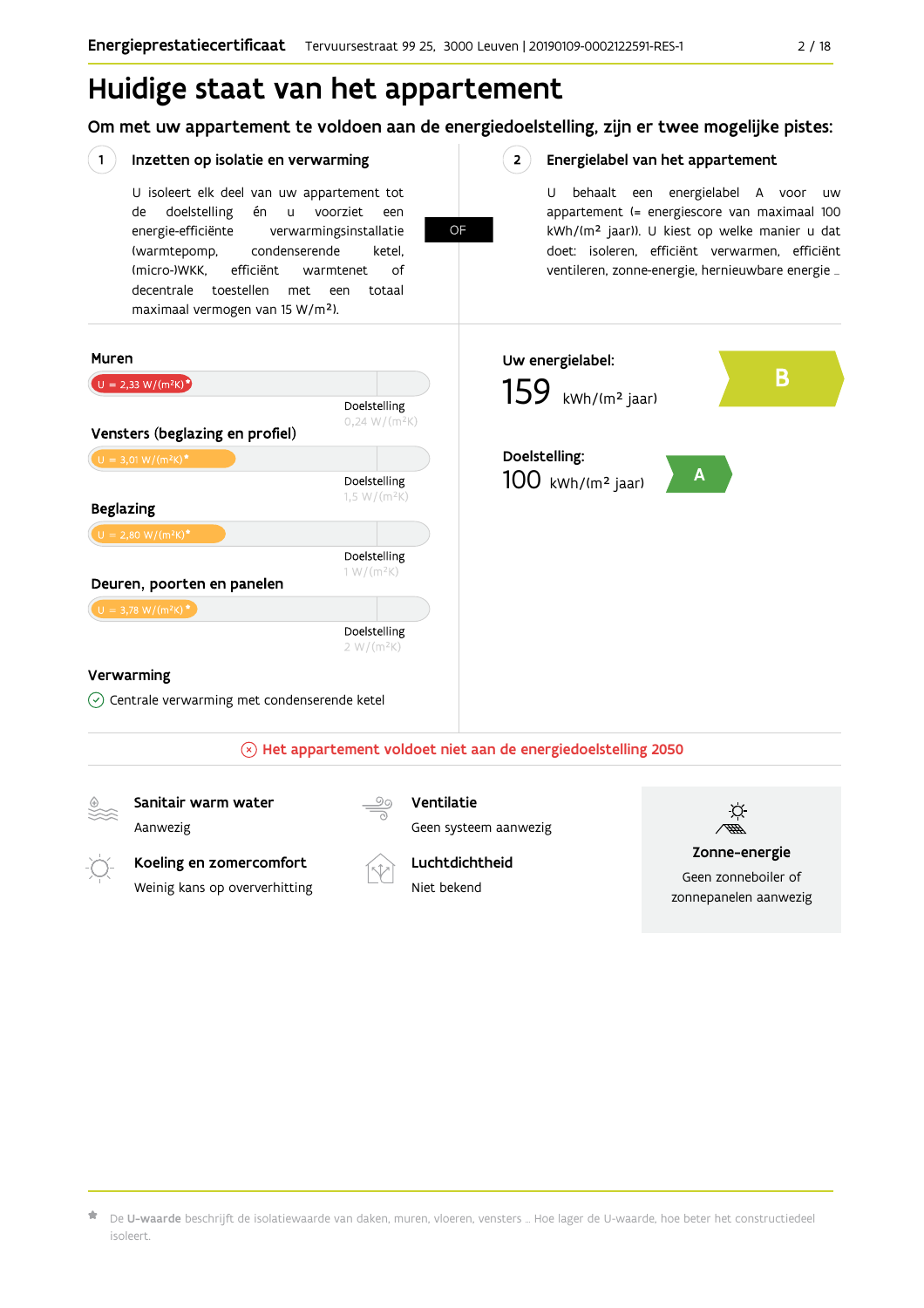## Huidige staat van het appartement

Om met uw appartement te voldoen aan de energiedoelstelling, zijn er twee mogelijke pistes:

OF

 $2^{\circ}$ 

#### $(1)$ Inzetten op isolatie en verwarming

Weinig kans op oververhitting

U isoleert elk deel van uw appartement tot doelstelling voorziet de én  $\mathsf{u}$ een energie-efficiënte verwarmingsinstallatie (warmtepomp, condenserende ketel, (micro-)WKK. efficiënt warmtenet  $\bigcap_{ }$ decentrale toestellen met een totaal maximaal vermogen van 15 W/m<sup>2</sup>).

#### Energielabel van het appartement

U behaalt een energielabel A voor  $\overline{U}$ appartement (= energiescore van maximaal 100 kWh/(m<sup>2</sup> jaar)). U kiest op welke manier u dat doet: isoleren, efficiënt verwarmen, efficiënt ventileren, zonne-energie, hernieuwbare energie ...



Geen zonneboiler of zonnepanelen aanwezig

 $\star$  De **U-waarde** beschrijft de isolatiewaarde van daken, muren, vloeren, vensters … Hoe lager de U-waarde, hoe beter het constructiedeel isoleert

Niet bekend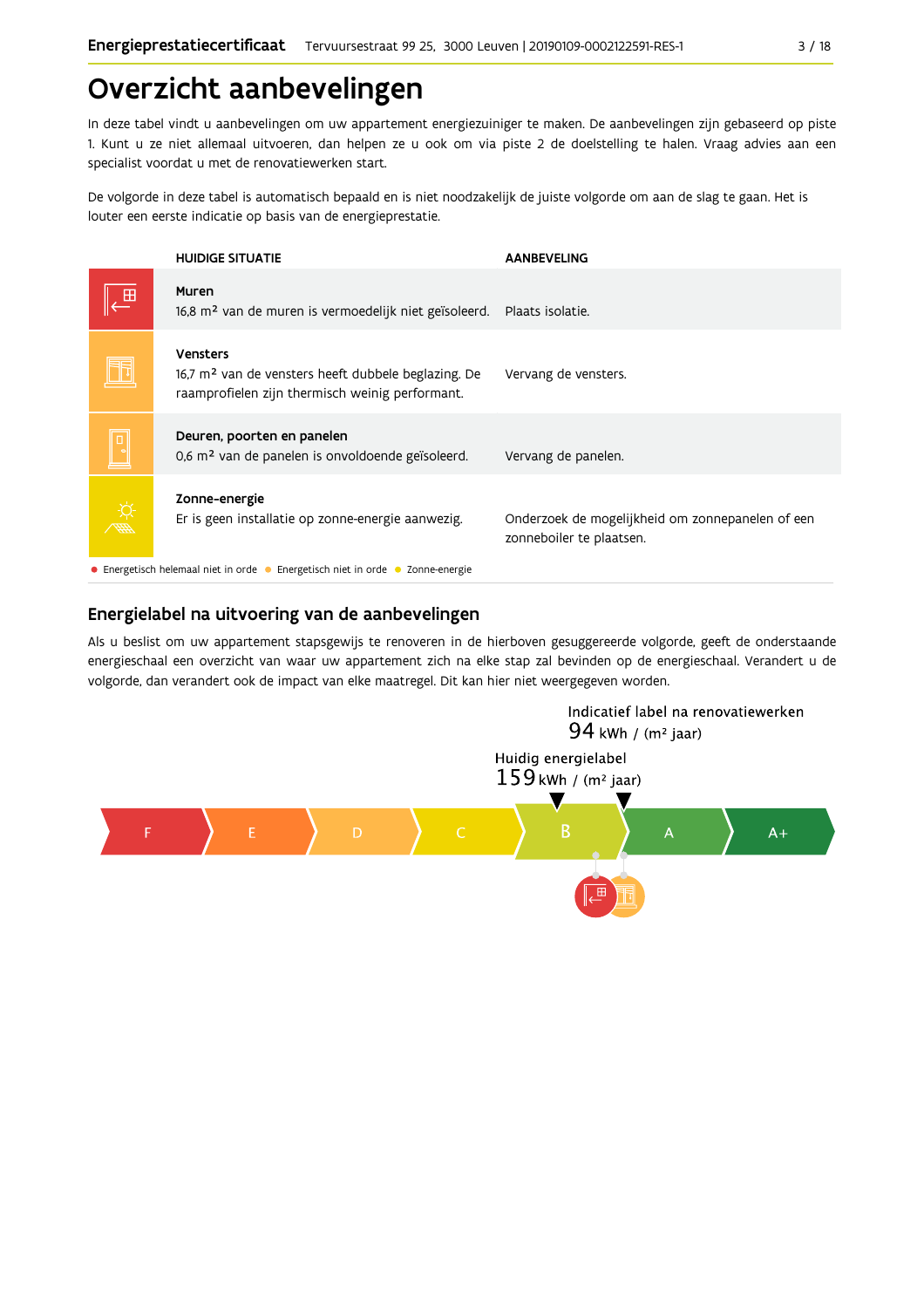## Overzicht aanbevelingen

In deze tabel vindt u aanbevelingen om uw appartement energiezuiniger te maken. De aanbevelingen zijn gebaseerd op piste 1. Kunt u ze niet allemaal uitvoeren, dan helpen ze u ook om via piste 2 de doelstelling te halen. Vraag advies aan een specialist voordat u met de renovatiewerken start.

De volgorde in deze tabel is automatisch bepaald en is niet noodzakelijk de juiste volgorde om aan de slag te gaan. Het is louter een eerste indicatie op basis van de energieprestatie.

|       | <b>HUIDIGE SITUATIE</b>                                                                                                                 | <b>AANBEVELING</b>                                                           |  |  |  |  |
|-------|-----------------------------------------------------------------------------------------------------------------------------------------|------------------------------------------------------------------------------|--|--|--|--|
|       | Muren<br>16,8 m <sup>2</sup> van de muren is vermoedelijk niet geïsoleerd.                                                              | Plaats isolatie.                                                             |  |  |  |  |
|       | <b>Vensters</b><br>$16.7$ m <sup>2</sup> van de vensters heeft dubbele beglazing. De<br>raamprofielen zijn thermisch weinig performant. | Vervang de vensters.                                                         |  |  |  |  |
|       | Deuren, poorten en panelen<br>0,6 m <sup>2</sup> van de panelen is onvoldoende geïsoleerd.                                              | Vervang de panelen.                                                          |  |  |  |  |
| HAD S | Zonne-energie<br>Er is geen installatie op zonne-energie aanwezig.                                                                      | Onderzoek de mogelijkheid om zonnepanelen of een<br>zonneboiler te plaatsen. |  |  |  |  |
|       | • Energetisch helemaal niet in orde • Energetisch niet in orde • Zonne-energie                                                          |                                                                              |  |  |  |  |

#### Energielabel na uitvoering van de aanbevelingen

Als u beslist om uw appartement stapsgewijs te renoveren in de hierboven gesuggereerde volgorde, geeft de onderstaande energieschaal een overzicht van waar uw appartement zich na elke stap zal bevinden op de energieschaal. Verandert u de volgorde, dan verandert ook de impact van elke maatregel. Dit kan hier niet weergegeven worden.

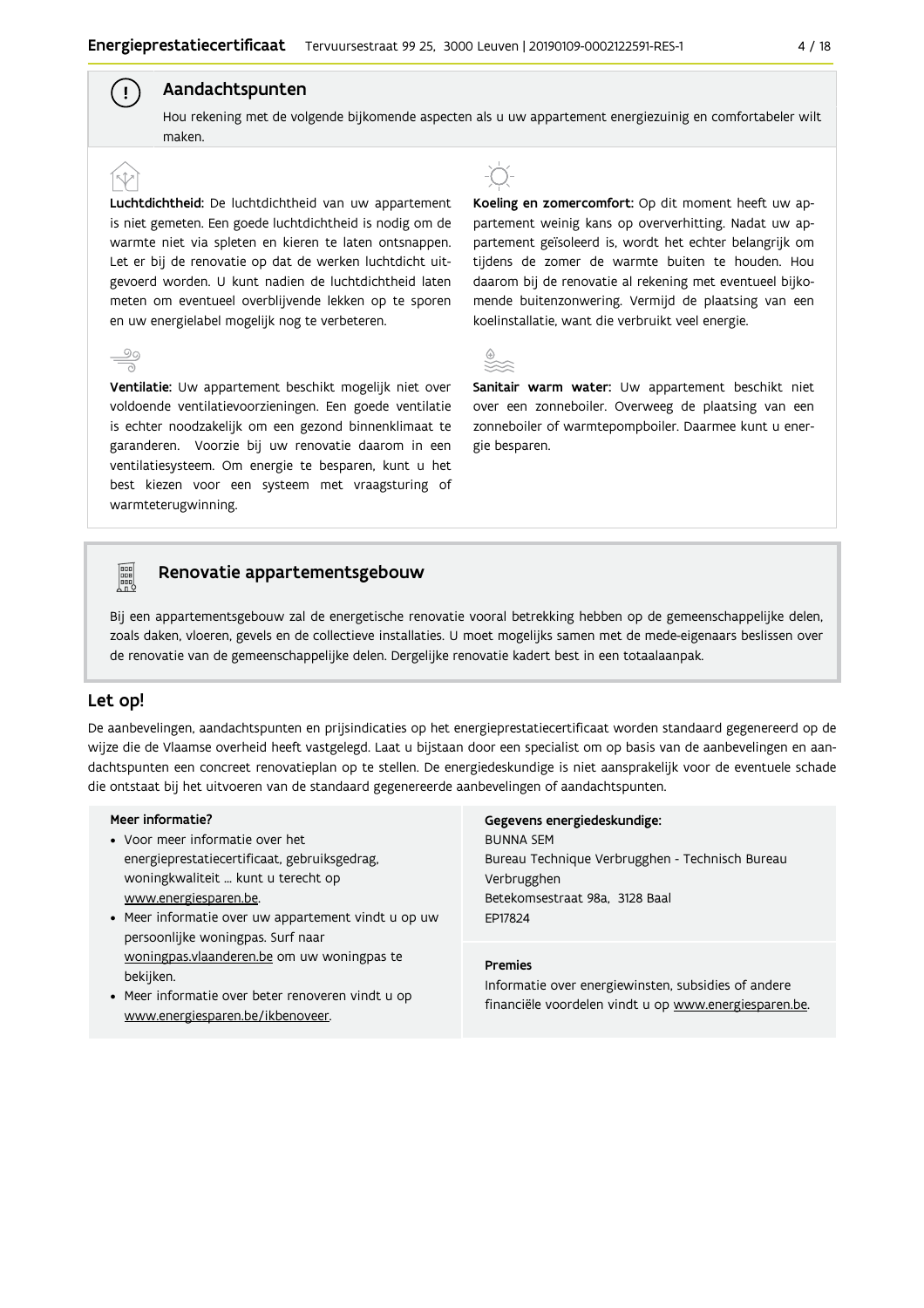### Aandachtspunten

Hou rekening met de volgende bijkomende aspecten als u uw appartement energiezuinig en comfortabeler wilt maken

Luchtdichtheid: De luchtdichtheid van uw appartement is niet gemeten. Een goede luchtdichtheid is nodig om de warmte niet via spleten en kieren te laten ontsnappen. Let er bij de renovatie op dat de werken luchtdicht uitgevoerd worden. U kunt nadien de luchtdichtheid laten meten om eventueel overblijvende lekken op te sporen en uw energielabel mogelijk nog te verbeteren.



 $\mathbf{I}$ 

Ventilatie: Uw appartement beschikt mogelijk niet over voldoende ventilatievoorzieningen. Een goede ventilatie is echter noodzakelijk om een gezond binnenklimaat te garanderen. Voorzie bij uw renovatie daarom in een ventilatiesysteem. Om energie te besparen, kunt u het best kiezen voor een systeem met vraagsturing of warmteterugwinning.



Koeling en zomercomfort: Op dit moment heeft uw appartement weinig kans op oververhitting. Nadat uw appartement geïsoleerd is, wordt het echter belangrijk om tijdens de zomer de warmte buiten te houden. Hou daarom bij de renovatie al rekening met eventueel bijkomende buitenzonwering. Vermijd de plaatsing van een koelinstallatie, want die verbruikt veel energie.

|             | <b>STATE</b><br>. . | .,        |
|-------------|---------------------|-----------|
|             | . .<br>٩            | . .       |
| w<br>$\sim$ | ۰,<br>. .<br>- -    | ۰.<br>. . |

Sanitair warm water: Uw appartement beschikt niet over een zonneboiler. Overweeg de plaatsing van een zonneboiler of warmtepompboiler. Daarmee kunt u energie besparen.

### Renovatie appartementsgebouw

Bij een appartementsgebouw zal de energetische renovatie vooral betrekking hebben op de gemeenschappelijke delen, zoals daken, vloeren, gevels en de collectieve installaties. U moet mogelijks samen met de mede-eigenaars beslissen over de renovatie van de gemeenschappelijke delen. Dergelijke renovatie kadert best in een totaalaanpak.

#### Let op!

 $\begin{bmatrix} \mathbf{u} \\ \mathbf{u} \\ \mathbf{u} \\ \mathbf{u} \end{bmatrix}$ 

De aanbevelingen, aandachtspunten en prijsindicaties op het energieprestatiecertificaat worden standaard gegenereerd op de wijze die de Vlaamse overheid heeft vastgelegd. Laat u bijstaan door een specialist om op basis van de aanbevelingen en aandachtspunten een concreet renovatieplan op te stellen. De energiedeskundige is niet aansprakelijk voor de eventuele schade die ontstaat bij het uitvoeren van de standaard gegenereerde aanbevelingen of aandachtspunten.

#### Meer informatie?

- Voor meer informatie over het energieprestatiecertificaat, gebruiksgedrag, woningkwaliteit ... kunt u terecht op www.energiesparen.be.
- Meer informatie over uw appartement vindt u op uw persoonlijke woningpas. Surf naar woningpas.vlaanderen.be om uw woningpas te bekijken.
- Meer informatie over beter renoveren vindt u op www.energiesparen.be/ikbenoveer.

#### Gegevens energiedeskundige:

**BUNNA SEM** Bureau Technique Verbrugghen - Technisch Bureau Verbrugghen Betekomsestraat 98a, 3128 Baal FD17824

#### **Dramias**

Informatie over energiewinsten, subsidies of andere financiële voordelen vindt u op www.energiesparen.be.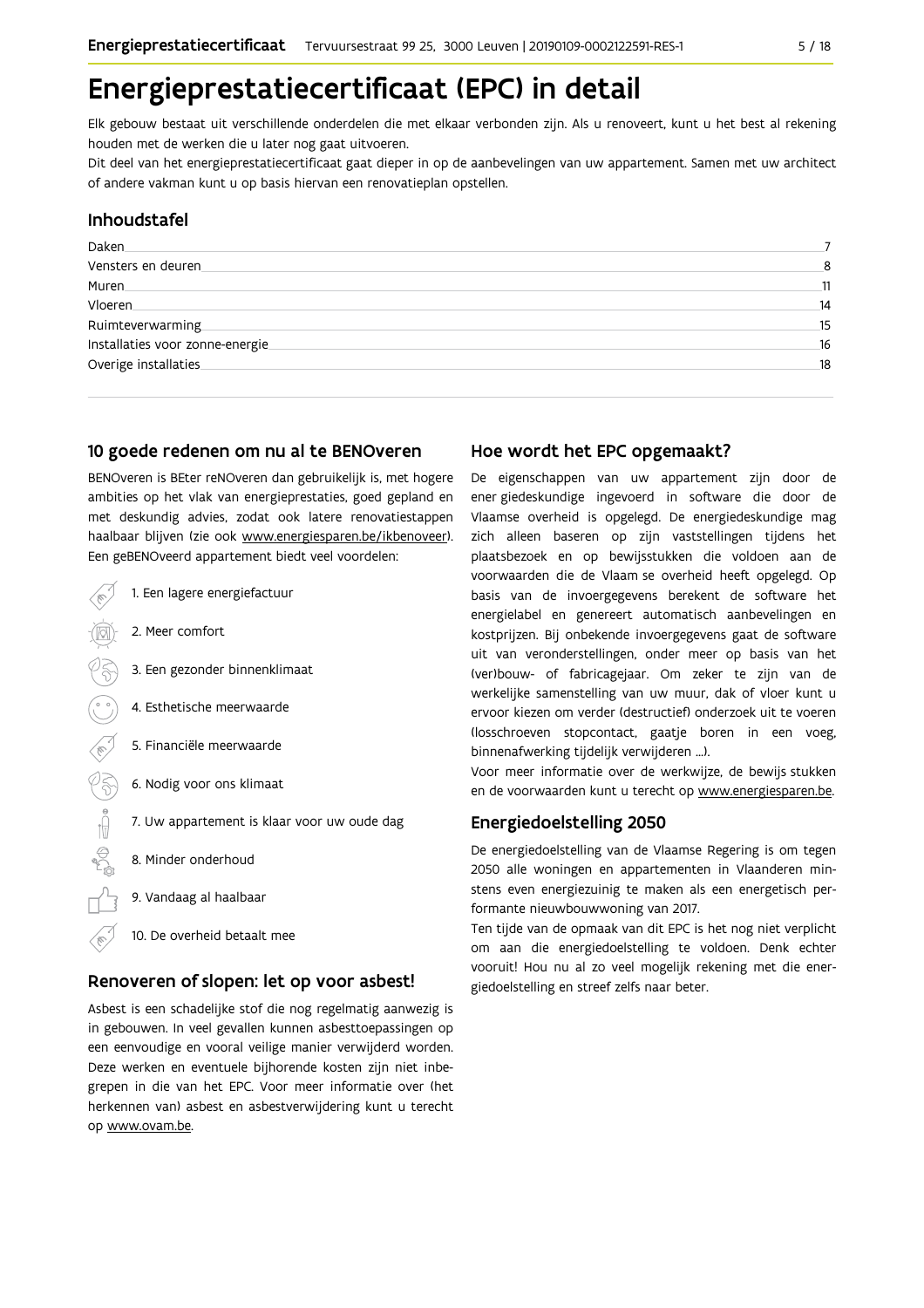## Energieprestatiecertificaat (EPC) in detail

Elk gebouw bestaat uit verschillende onderdelen die met elkaar verbonden zijn. Als u renoveert, kunt u het best al rekening houden met de werken die u later nog gaat uitvoeren.

Dit deel van het energieprestatiecertificaat gaat dieper in op de aanbevelingen van uw appartement. Samen met uw architect of andere vakman kunt u op basis hiervan een renovatieplan opstellen.

#### Inhoudstafel

| Daken                           |    |
|---------------------------------|----|
| Vensters en deuren.             | 8  |
| Muren                           | 11 |
| Vloeren.                        | 14 |
| Ruimteverwarming                | 15 |
| Installaties voor zonne-energie | 16 |
| Overige installaties            | 18 |
|                                 |    |

#### 10 goede redenen om nu al te BENOveren

BENOveren is BEter reNOveren dan gebruikelijk is, met hogere ambities op het vlak van energieprestaties, goed gepland en met deskundig advies, zodat ook latere renovatiestappen haalbaar blijven (zie ook www.energiesparen.be/ikbenoveer). Een geBENOveerd appartement biedt veel voordelen:

1. Een lagere energiefactuur 2. Meer comfort 3. Een gezonder binnenklimaat 4. Esthetische meerwaarde 5. Financiële meerwaarde  $\begin{matrix} \mathcal{C} \\ \mathcal{S} \end{matrix}$ 6. Nodig voor ons klimaat 7. Uw appartement is klaar voor uw oude dag  $\bigoplus_{n=1}^{\infty}$ 8. Minder onderhoud 9. Vandaag al haalbaar 10. De overheid betaalt mee

#### Renoveren of slopen: let op voor asbest!

Asbest is een schadelijke stof die nog regelmatig aanwezig is in gebouwen. In veel gevallen kunnen asbesttoepassingen op een eenvoudige en vooral veilige manier verwijderd worden. Deze werken en eventuele bijhorende kosten zijn niet inbegrepen in die van het EPC. Voor meer informatie over (het herkennen van) asbest en asbestverwijdering kunt u terecht op www.ovam.be.

#### Hoe wordt het EPC opgemaakt?

De eigenschappen van uw appartement zijn door de ener giedeskundige ingevoerd in software die door de Vlaamse overheid is opgelegd. De energiedeskundige mag zich alleen baseren op zijn vaststellingen tijdens het plaatsbezoek en op bewijsstukken die voldoen aan de voorwaarden die de Vlaam se overheid heeft opgelegd. Op basis van de invoergegevens berekent de software het energielabel en genereert automatisch aanbevelingen en kostprijzen. Bij onbekende invoergegevens gaat de software uit van veronderstellingen, onder meer op basis van het (ver)bouw- of fabricagejaar. Om zeker te zijn van de werkelijke samenstelling van uw muur, dak of vloer kunt u ervoor kiezen om verder (destructief) onderzoek uit te voeren (losschroeven stopcontact, gaatje boren in een voeg, binnenafwerking tijdelijk verwijderen ...).

Voor meer informatie over de werkwijze, de bewijs stukken en de voorwaarden kunt u terecht op www.energiesparen.be.

### **Energiedoelstelling 2050**

De energiedoelstelling van de Vlaamse Regering is om tegen 2050 alle woningen en appartementen in Vlaanderen minstens even energiezuinig te maken als een energetisch performante nieuwbouwwoning van 2017.

Ten tijde van de opmaak van dit EPC is het nog niet verplicht om aan die energiedoelstelling te voldoen. Denk echter vooruit! Hou nu al zo veel mogelijk rekening met die energiedoelstelling en streef zelfs naar beter.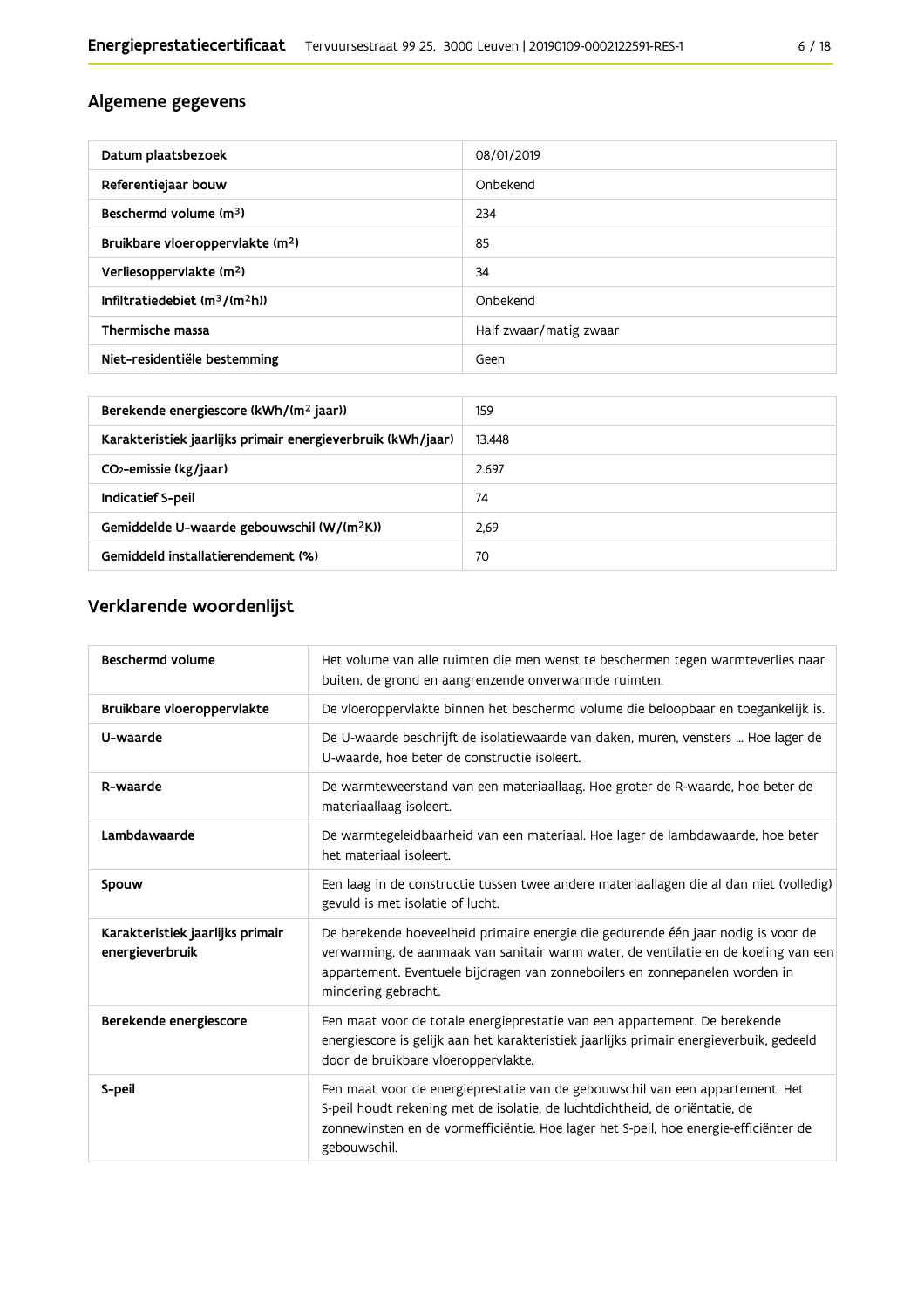### Algemene gegevens

| Datum plaatsbezoek                           | 08/01/2019             |
|----------------------------------------------|------------------------|
| Referentiejaar bouw                          | Onbekend               |
| Beschermd volume $(m3)$                      | 234                    |
| Bruikbare vloeroppervlakte (m <sup>2</sup> ) | 85                     |
| Verliesoppervlakte (m <sup>2</sup> )         | 34                     |
| Infiltratiedebiet $(m^3/(m^2h))$             | Onbekend               |
| Thermische massa                             | Half zwaar/matig zwaar |
| Niet-residentiële bestemming                 | Geen                   |

| Berekende energiescore (kWh/(m <sup>2</sup> jaar))          | 159    |
|-------------------------------------------------------------|--------|
| Karakteristiek jaarlijks primair energieverbruik (kWh/jaar) | 13.448 |
| CO <sub>2</sub> -emissie (kg/jaar)                          | 2.697  |
| Indicatief S-peil                                           | 74     |
| Gemiddelde U-waarde gebouwschil (W/(m <sup>2</sup> K))      | 2.69   |
| Gemiddeld installatierendement (%)                          | 70     |

## Verklarende woordenlijst

| <b>Beschermd volume</b>                             | Het volume van alle ruimten die men wenst te beschermen tegen warmteverlies naar<br>buiten, de grond en aangrenzende onverwarmde ruimten.                                                                                                                                      |
|-----------------------------------------------------|--------------------------------------------------------------------------------------------------------------------------------------------------------------------------------------------------------------------------------------------------------------------------------|
| Bruikbare vloeroppervlakte                          | De vloeroppervlakte binnen het beschermd volume die beloopbaar en toegankelijk is.                                                                                                                                                                                             |
| U-waarde                                            | De U-waarde beschrijft de isolatiewaarde van daken, muren, vensters  Hoe lager de<br>U-waarde, hoe beter de constructie isoleert.                                                                                                                                              |
| R-waarde                                            | De warmteweerstand van een materiaallaag. Hoe groter de R-waarde, hoe beter de<br>materiaallaag isoleert.                                                                                                                                                                      |
| Lambdawaarde                                        | De warmtegeleidbaarheid van een materiaal. Hoe lager de lambdawaarde, hoe beter<br>het materiaal isoleert.                                                                                                                                                                     |
| Spouw                                               | Een laag in de constructie tussen twee andere materiaallagen die al dan niet (volledig)<br>gevuld is met isolatie of lucht.                                                                                                                                                    |
| Karakteristiek jaarlijks primair<br>energieverbruik | De berekende hoeveelheid primaire energie die gedurende één jaar nodig is voor de<br>verwarming, de aanmaak van sanitair warm water, de ventilatie en de koeling van een<br>appartement. Eventuele bijdragen van zonneboilers en zonnepanelen worden in<br>mindering gebracht. |
| Berekende energiescore                              | Een maat voor de totale energieprestatie van een appartement. De berekende<br>energiescore is gelijk aan het karakteristiek jaarlijks primair energieverbuik, gedeeld<br>door de bruikbare vloeroppervlakte.                                                                   |
| S-peil                                              | Een maat voor de energieprestatie van de gebouwschil van een appartement. Het<br>S-peil houdt rekening met de isolatie, de luchtdichtheid, de oriëntatie, de<br>zonnewinsten en de vormefficiëntie. Hoe lager het S-peil, hoe energie-efficiënter de<br>gebouwschil.           |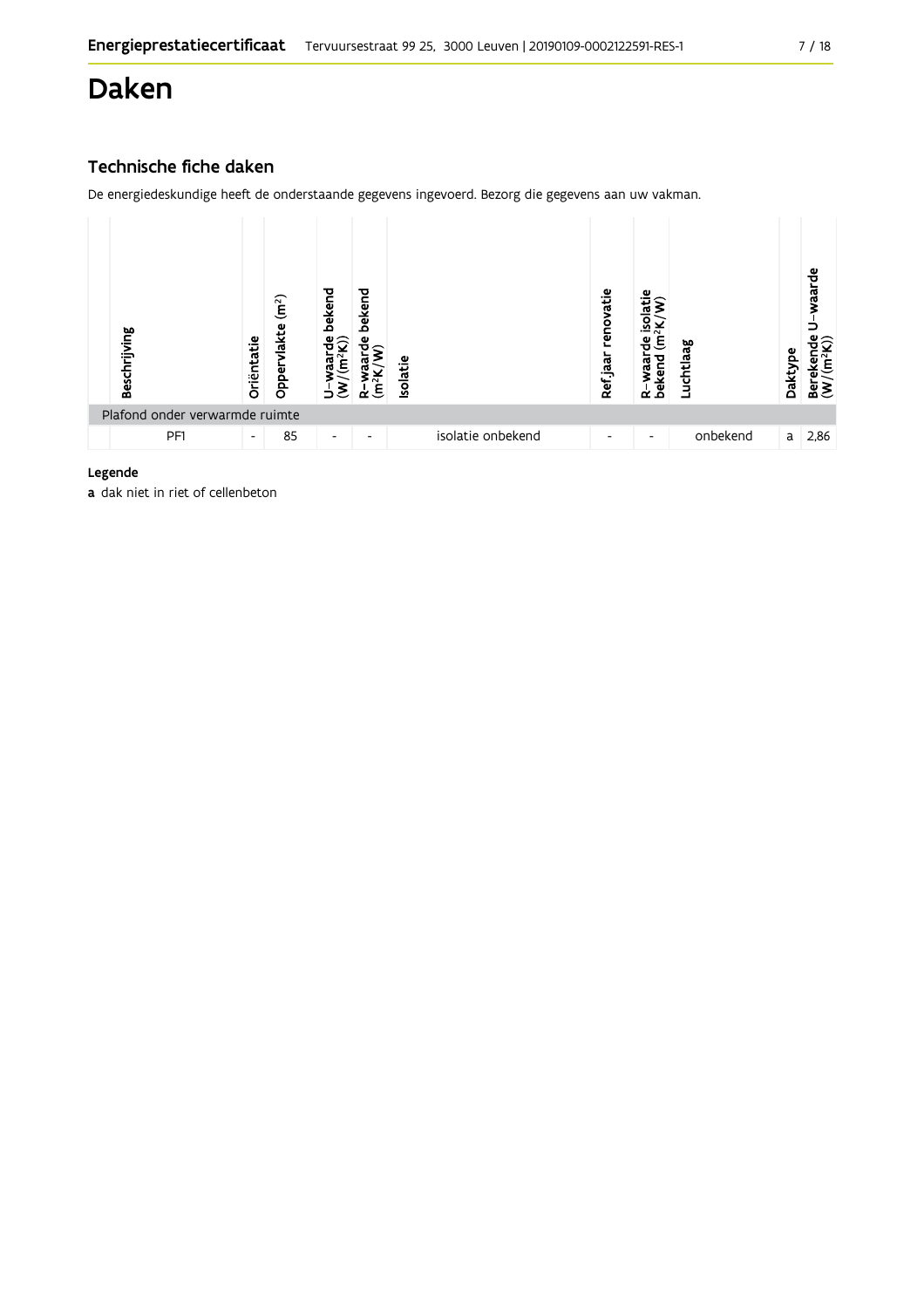## Daken

### Technische fiche daken

De energiedeskundige heeft de onderstaande gegevens ingevoerd. Bezorg die gegevens aan uw vakman.

| Beschrijving                   | Oriëntatie               | $\widetilde{\mathbf{m}}^2$<br>Oppervlakte | bekend<br>ಕಿರಿ<br>ಢ<br>⊃ | bekend<br>ω<br>ξ<br>≃    | Isolatie |                   | renovatie<br>Ref jaar | Φ<br>$\sigma$<br>᠗<br>Έ<br>Φ<br>R-waar<br>bekend | Luchtlaag | Daktype | waarde<br>ชื<br>$\widetilde{[m^2]}$<br>eker<br>ื้≌ลื |
|--------------------------------|--------------------------|-------------------------------------------|--------------------------|--------------------------|----------|-------------------|-----------------------|--------------------------------------------------|-----------|---------|------------------------------------------------------|
| Plafond onder verwarmde ruimte |                          |                                           |                          |                          |          |                   |                       |                                                  |           |         |                                                      |
| PF1                            | $\overline{\phantom{a}}$ | 85                                        | $\overline{\phantom{a}}$ | $\overline{\phantom{0}}$ |          | isolatie onbekend | -                     | $\overline{\phantom{a}}$                         | onbekend  | a       | 2,86                                                 |

#### Legende

a dak niet in riet of cellenbeton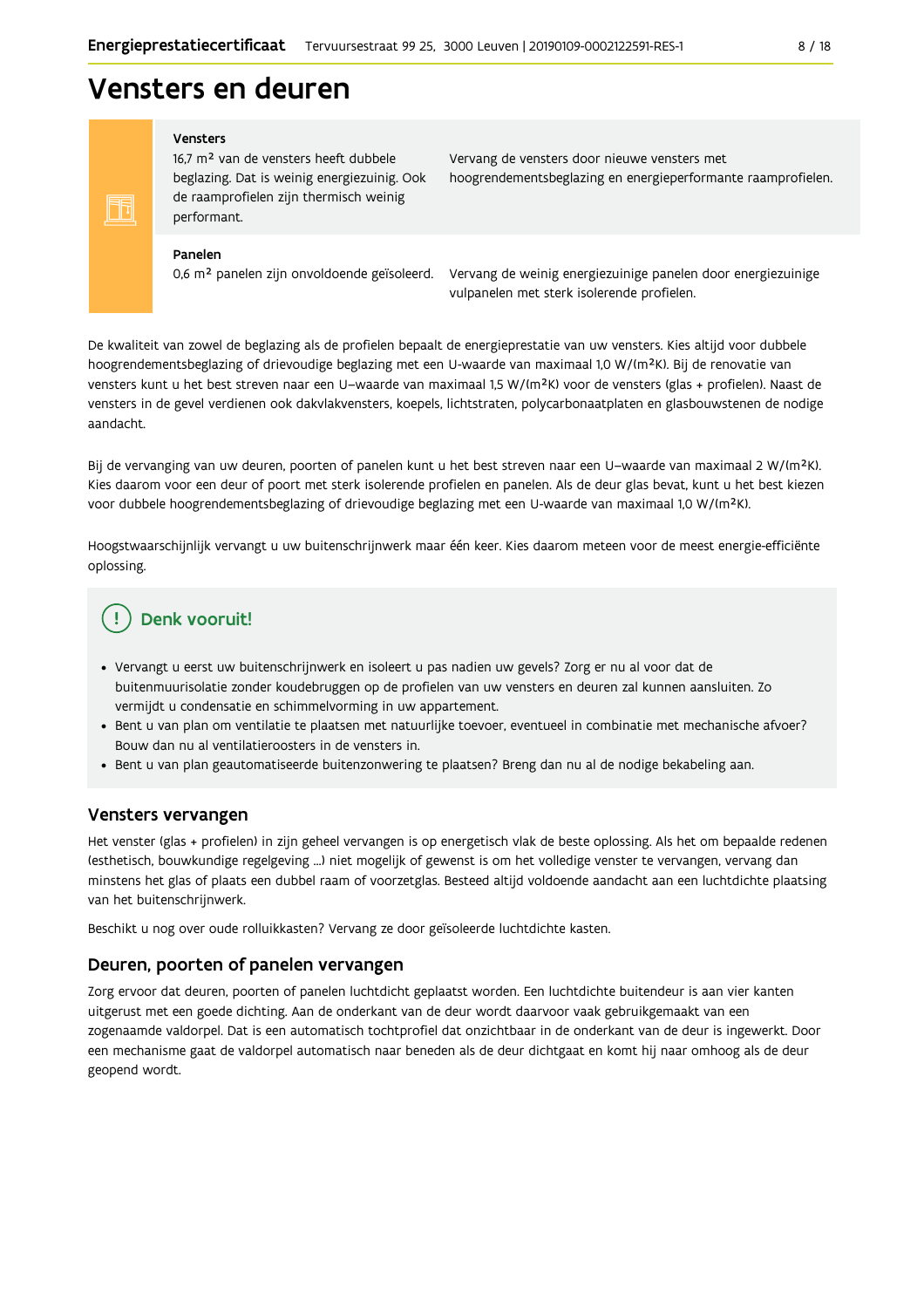## **Vensters en deuren**

#### Vensters

16,7 m<sup>2</sup> van de vensters heeft dubbele beglazing. Dat is weinig energiezuinig. Ook de raamprofielen zijn thermisch weinig performant.

Vervang de vensters door nieuwe vensters met hoogrendementsbeglazing en energieperformante raamprofielen.

#### Panelen

N

0,6 m<sup>2</sup> panelen zijn onvoldoende geïsoleerd.

Vervang de weinig energiezuinige panelen door energiezuinige vulpanelen met sterk isolerende profielen.

De kwaliteit van zowel de beglazing als de profielen bepaalt de energieprestatie van uw vensters. Kies altijd voor dubbele hoogrendementsbeglazing of drievoudige beglazing met een U-waarde van maximaal 1,0 W/(m<sup>2</sup>K). Bij de renovatie van vensters kunt u het best streven naar een U-waarde van maximaal 1,5 W/(m<sup>2</sup>K) voor de vensters (glas + profielen). Naast de vensters in de gevel verdienen ook dakvlakvensters, koepels, lichtstraten, polycarbonaatplaten en glasbouwstenen de nodige aandacht.

Bij de vervanging van uw deuren, poorten of panelen kunt u het best streven naar een U-waarde van maximaal 2 W/(m<sup>2</sup>K). Kies daarom voor een deur of poort met sterk isolerende profielen en panelen. Als de deur glas bevat, kunt u het best kiezen voor dubbele hoogrendementsbeglazing of drievoudige beglazing met een U-waarde van maximaal 1,0 W/(m<sup>2</sup>K).

Hoogstwaarschijnlijk vervangt u uw buitenschrijnwerk maar één keer. Kies daarom meteen voor de meest energie-efficiënte oplossing.

### Denk vooruit!

- · Vervangt u eerst uw buitenschrijnwerk en isoleert u pas nadien uw gevels? Zorg er nu al voor dat de buitenmuurisolatie zonder koudebruggen op de profielen van uw vensters en deuren zal kunnen aansluiten. Zo vermijdt u condensatie en schimmelvorming in uw appartement.
- Bent u van plan om ventilatie te plaatsen met natuurlijke toevoer, eventueel in combinatie met mechanische afvoer? Bouw dan nu al ventilatieroosters in de vensters in.
- · Bent u van plan geautomatiseerde buitenzonwering te plaatsen? Breng dan nu al de nodige bekabeling aan.

#### Vensters vervangen

Het venster (glas + profielen) in zijn geheel vervangen is op energetisch vlak de beste oplossing. Als het om bepaalde redenen (esthetisch, bouwkundige regelgeving ...) niet mogelijk of gewenst is om het volledige venster te vervangen, vervang dan minstens het glas of plaats een dubbel raam of voorzetglas. Besteed altijd voldoende aandacht aan een luchtdichte plaatsing van het buitenschrijnwerk.

Beschikt u nog over oude rolluikkasten? Vervang ze door geïsoleerde luchtdichte kasten.

#### Deuren, poorten of panelen vervangen

Zorg ervoor dat deuren, poorten of panelen luchtdicht geplaatst worden. Een luchtdichte buitendeur is aan vier kanten uitgerust met een goede dichting. Aan de onderkant van de deur wordt daarvoor vaak gebruikgemaakt van een zogenaamde valdorpel. Dat is een automatisch tochtprofiel dat onzichtbaar in de onderkant van de deur is ingewerkt. Door een mechanisme gaat de valdorpel automatisch naar beneden als de deur dichtgaat en komt hij naar omhoog als de deur geopend wordt.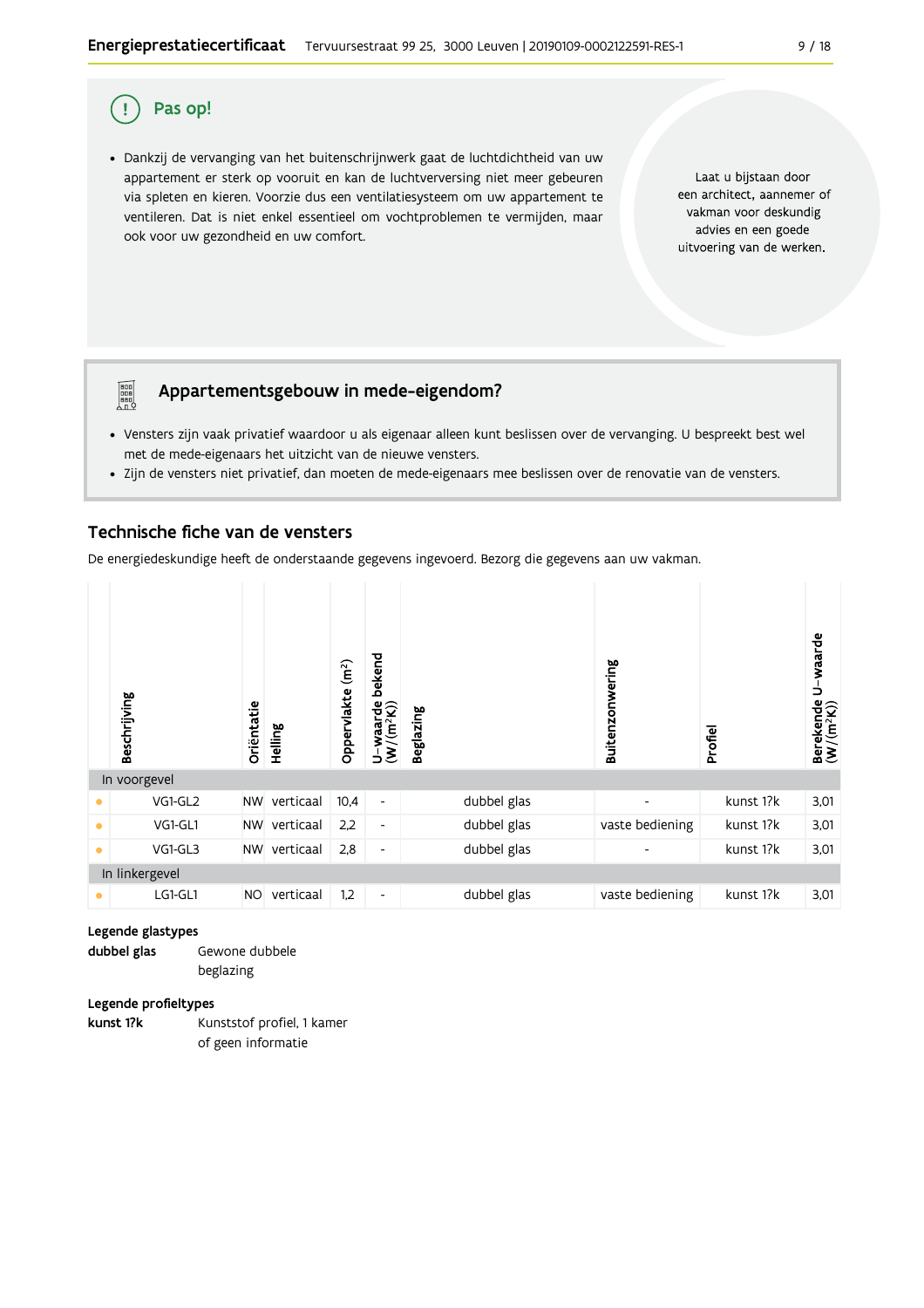#### Pas op! Ţ

**PEE** 

· Dankzij de vervanging van het buitenschrijnwerk gaat de luchtdichtheid van uw appartement er sterk op vooruit en kan de luchtverversing niet meer gebeuren via spleten en kieren. Voorzie dus een ventilatiesysteem om uw appartement te ventileren. Dat is niet enkel essentieel om vochtproblemen te vermijden, maar ook voor uw gezondheid en uw comfort.

Laat u bijstaan door een architect, aannemer of vakman voor deskundig advies en een goede uitvoering van de werken.

### Appartementsgebouw in mede-eigendom?

- · Vensters zijn vaak privatief waardoor u als eigenaar alleen kunt beslissen over de vervanging. U bespreekt best wel met de mede-eigenaars het uitzicht van de nieuwe vensters.
- · Zijn de vensters niet privatief, dan moeten de mede-eigenaars mee beslissen over de renovatie van de vensters.

#### Technische fiche van de vensters

De energiedeskundige heeft de onderstaande gegevens ingevoerd. Bezorg die gegevens aan uw vakman.

|           | Beschrijving   | Oriëntatie | Helling   | $\left( \widehat{\mathbf{m}}^{2}\right)$<br>Oppervlakte | bekend<br>$\frac{\mathsf{U}-\mathsf{waarde}}{\mathsf{(W/(m^2K))}}$ | <b>Beglazing</b> |             | Buitenzonwering | Profiel   | Berekende U-waarde<br>(W/(m <sup>2</sup> K)) |
|-----------|----------------|------------|-----------|---------------------------------------------------------|--------------------------------------------------------------------|------------------|-------------|-----------------|-----------|----------------------------------------------|
|           | In voorgevel   |            |           |                                                         |                                                                    |                  |             |                 |           |                                              |
|           | VG1-GL2        | <b>NW</b>  | verticaal | 10,4                                                    | $\overline{\phantom{a}}$                                           |                  | dubbel glas |                 | kunst 1?k | 3,01                                         |
| $\bullet$ | VG1-GL1        | <b>NW</b>  | verticaal | 2,2                                                     | $\overline{\phantom{a}}$                                           |                  | dubbel glas | vaste bediening | kunst 1?k | 3,01                                         |
| $\bullet$ | VG1-GL3        | <b>NW</b>  | verticaal | 2,8                                                     | $\overline{\phantom{a}}$                                           |                  | dubbel glas | ٠               | kunst 1?k | 3,01                                         |
|           | In linkergevel |            |           |                                                         |                                                                    |                  |             |                 |           |                                              |
| ۰         | LG1-GL1        | <b>NO</b>  | verticaal | 1,2                                                     | $\overline{\phantom{a}}$                                           |                  | dubbel glas | vaste bediening | kunst 1?k | 3,01                                         |

#### Legende glastypes

dubbel glas Gewone dubbele beglazing

#### Legende profieltypes

Kunststof profiel, 1 kamer kunst 1?k of geen informatie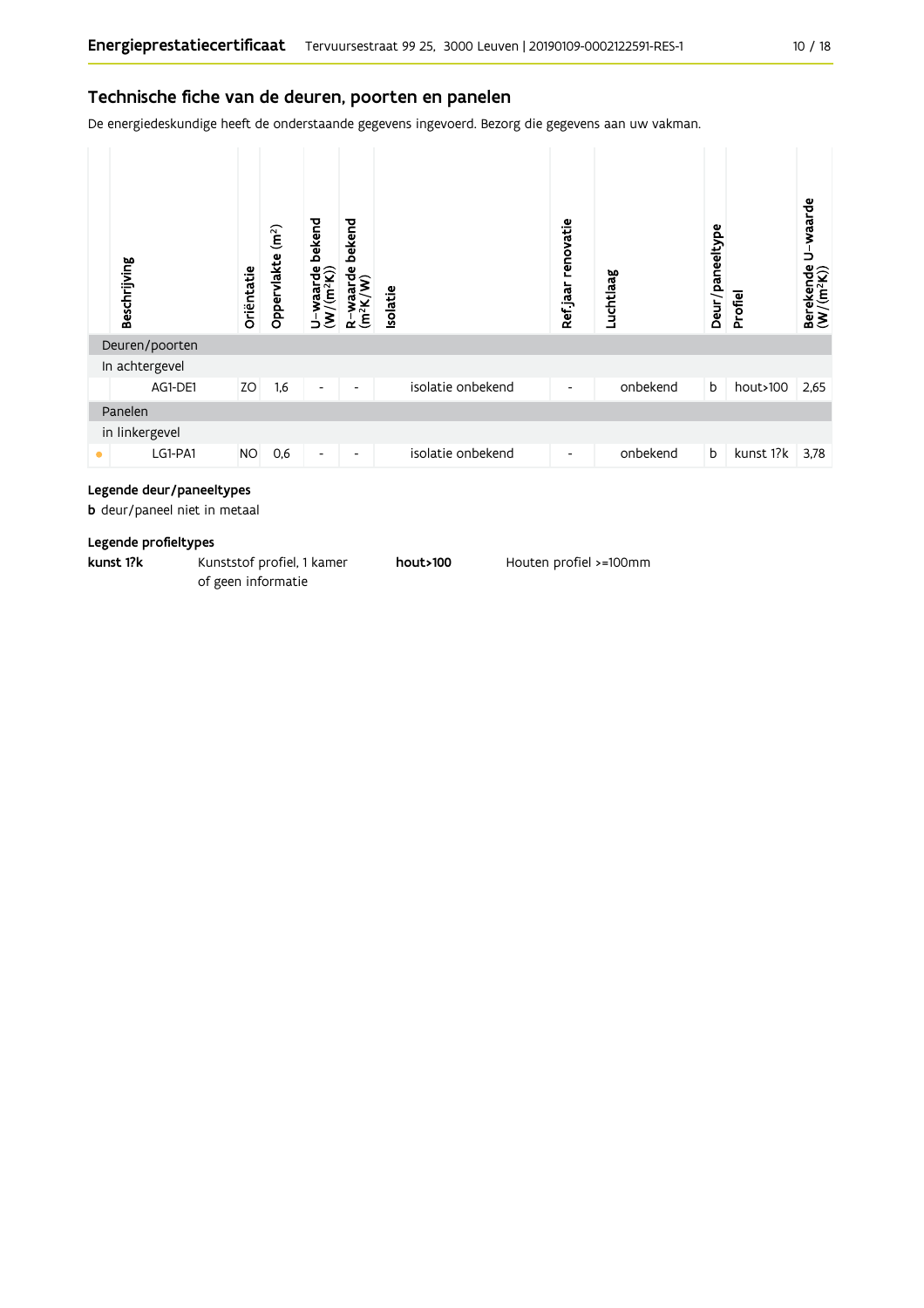#### Technische fiche van de deuren, poorten en panelen

De energiedeskundige heeft de onderstaande gegevens ingevoerd. Bezorg die gegevens aan uw vakman.



#### Legende deur/paneeltypes

**b** deur/paneel niet in metaal

#### Legende profieltypes

kunst 1?k Kunststof profiel, 1 kamer hout>100 Houten profiel >=100mm of geen informatie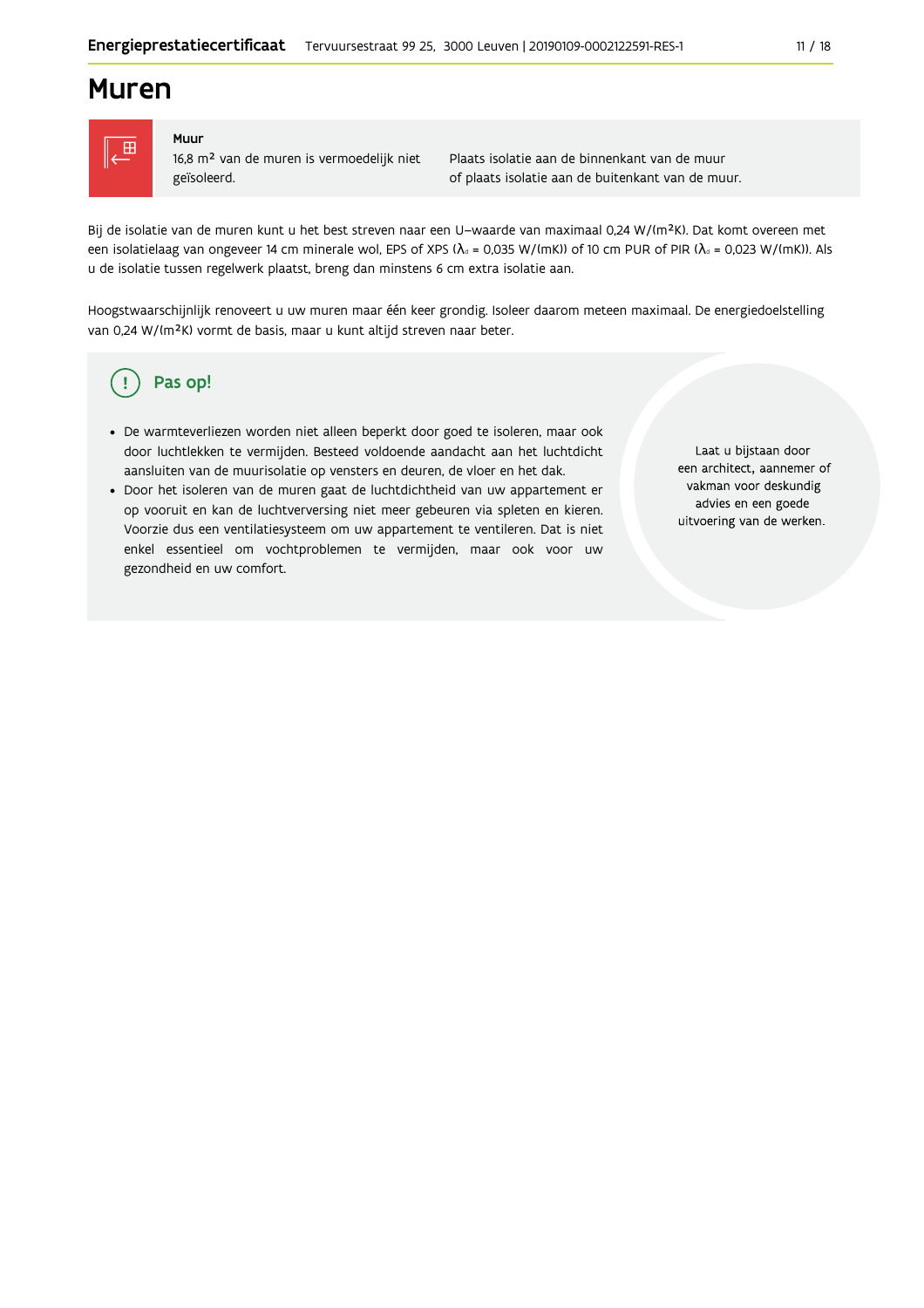### **Muren**



#### Muur

16,8 m<sup>2</sup> van de muren is vermoedelijk niet geïsoleerd.

Plaats isolatie aan de binnenkant van de muur of plaats isolatie aan de buitenkant van de muur.

Bij de isolatie van de muren kunt u het best streven naar een U-waarde van maximaal 0,24 W/(m<sup>2</sup>K). Dat komt overeen met een isolatielaag van ongeveer 14 cm minerale wol, EPS of XPS ( $\lambda_4$  = 0,035 W/(mK)) of 10 cm PUR of PIR ( $\lambda_4$  = 0,023 W/(mK)). Als u de isolatie tussen regelwerk plaatst, breng dan minstens 6 cm extra isolatie aan.

Hoogstwaarschijnlijk renoveert u uw muren maar één keer grondig. Isoleer daarom meteen maximaal. De energiedoelstelling van 0,24 W/(m<sup>2</sup>K) vormt de basis, maar u kunt altijd streven naar beter.

#### Pas op! ( !

- · De warmteverliezen worden niet alleen beperkt door goed te isoleren, maar ook door luchtlekken te vermijden. Besteed voldoende aandacht aan het luchtdicht aansluiten van de muurisolatie op vensters en deuren, de vloer en het dak.
- · Door het isoleren van de muren gaat de luchtdichtheid van uw appartement er op vooruit en kan de luchtverversing niet meer gebeuren via spleten en kieren. Voorzie dus een ventilatiesysteem om uw appartement te ventileren. Dat is niet enkel essentieel om vochtproblemen te vermijden, maar ook voor uw gezondheid en uw comfort.

Laat u bijstaan door een architect, aannemer of vakman voor deskundig advies en een goede uitvoering van de werken.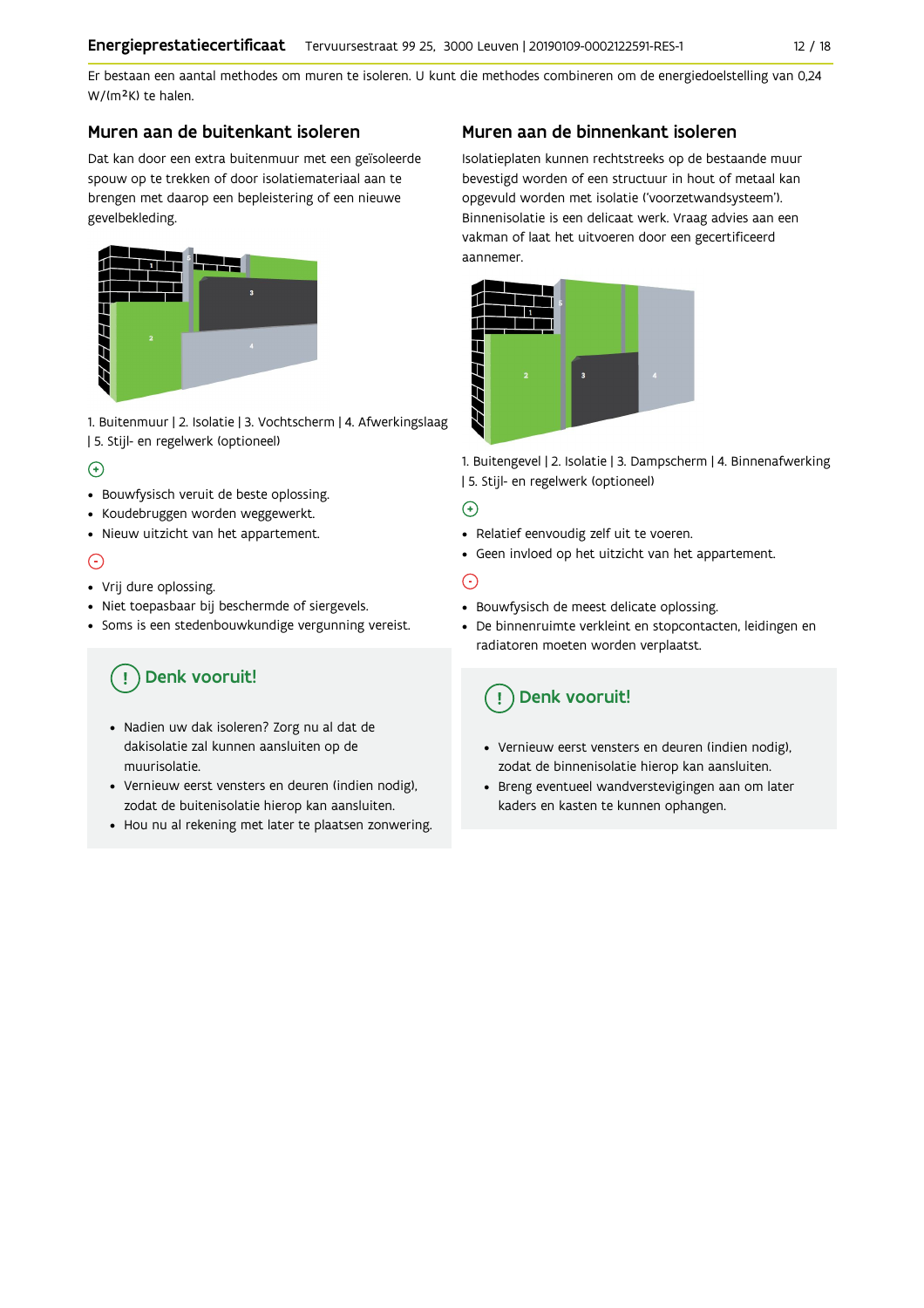Er bestaan een aantal methodes om muren te isoleren. U kunt die methodes combineren om de energiedoelstelling van 0,24 W/(m<sup>2</sup>K) te halen.

#### Muren aan de buitenkant isoleren

Dat kan door een extra buitenmuur met een geïsoleerde spouw op te trekken of door isolatiemateriaal aan te brengen met daarop een bepleistering of een nieuwe gevelbekleding.



1. Buitenmuur | 2. Isolatie | 3. Vochtscherm | 4. Afwerkingslaag | 5. Stijl- en regelwerk (optioneel)

#### $\left( \widehat{+}\right)$

- Bouwfysisch veruit de beste oplossing.
- · Koudebruggen worden weggewerkt.
- · Nieuw uitzicht van het appartement.

### $\odot$

- Vrij dure oplossing.
- · Niet toepasbaar bij beschermde of siergevels.
- · Soms is een stedenbouwkundige vergunning vereist.

#### Denk vooruit! Ţ

- · Nadien uw dak isoleren? Zorg nu al dat de dakisolatie zal kunnen aansluiten op de muurisolatie.
- · Vernieuw eerst vensters en deuren (indien nodig), zodat de buitenisolatie hierop kan aansluiten.
- Hou nu al rekening met later te plaatsen zonwering.

#### Muren aan de binnenkant isoleren

Isolatieplaten kunnen rechtstreeks op de bestaande muur bevestigd worden of een structuur in hout of metaal kan opgevuld worden met isolatie ('voorzetwandsysteem'). Binnenisolatie is een delicaat werk. Vraag advies aan een vakman of laat het uitvoeren door een gecertificeerd aannemer.



1. Buitengevel | 2. Isolatie | 3. Dampscherm | 4. Binnenafwerking | 5. Stijl- en regelwerk (optioneel)

#### $\bigoplus$

- Relatief eenvoudig zelf uit te voeren.
- Geen invloed op het uitzicht van het appartement.

### ⊝

- Bouwfysisch de meest delicate oplossing.
- · De binnenruimte verkleint en stopcontacten, leidingen en radiatoren moeten worden verplaatst.

## Denk vooruit!

- Vernieuw eerst vensters en deuren (indien nodig), zodat de binnenisolatie hierop kan aansluiten.
- · Breng eventueel wandverstevigingen aan om later kaders en kasten te kunnen ophangen.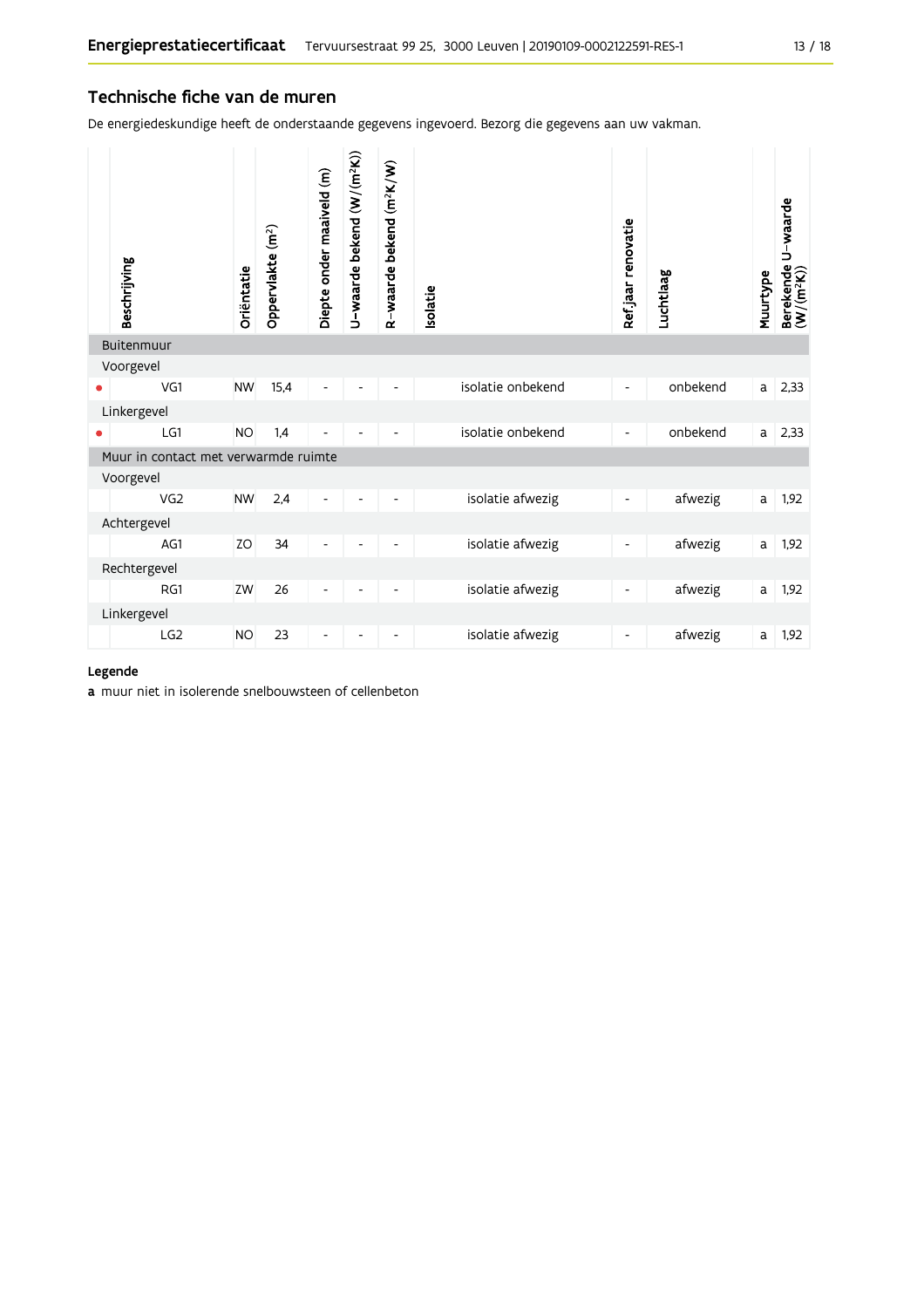#### Technische fiche van de muren

De energiedeskundige heeft de onderstaande gegevens ingevoerd. Bezorg die gegevens aan uw vakman.

| Beschrijving                         | Oriëntatie | Oppervlakte (m <sup>2</sup> ) | Diepte onder maaiveld (m) | U-waarde bekend (W/(m <sup>2</sup> K)) | R-waarde bekend (m <sup>2</sup> K/W) | <b>Isolatie</b> |                   | Ref.jaar renovatie       | Luchtlaag | Muurtype | Berekende U-waarde<br>(W/(m <sup>2</sup> K)) |
|--------------------------------------|------------|-------------------------------|---------------------------|----------------------------------------|--------------------------------------|-----------------|-------------------|--------------------------|-----------|----------|----------------------------------------------|
| Buitenmuur                           |            |                               |                           |                                        |                                      |                 |                   |                          |           |          |                                              |
| Voorgevel                            |            |                               |                           |                                        |                                      |                 |                   |                          |           |          |                                              |
| VG1                                  | <b>NW</b>  | 15,4                          | Ĭ.                        |                                        |                                      |                 | isolatie onbekend | $\overline{\phantom{a}}$ | onbekend  | a        | 2,33                                         |
| Linkergevel                          |            |                               |                           |                                        |                                      |                 |                   |                          |           |          |                                              |
| LG1                                  | <b>NO</b>  | 1,4                           |                           |                                        |                                      |                 | isolatie onbekend | $\overline{\phantom{a}}$ | onbekend  | a        | 2,33                                         |
| Muur in contact met verwarmde ruimte |            |                               |                           |                                        |                                      |                 |                   |                          |           |          |                                              |
| Voorgevel                            |            |                               |                           |                                        |                                      |                 |                   |                          |           |          |                                              |
| VG <sub>2</sub>                      | <b>NW</b>  | 2,4                           | $\overline{a}$            |                                        |                                      |                 | isolatie afwezig  | $\overline{\phantom{a}}$ | afwezig   | a        | 1,92                                         |
| Achtergevel                          |            |                               |                           |                                        |                                      |                 |                   |                          |           |          |                                              |
| AG1                                  | ZO         | 34                            | $\overline{a}$            |                                        |                                      |                 | isolatie afwezig  | $\overline{\phantom{a}}$ | afwezig   | a        | 1,92                                         |
| Rechtergevel                         |            |                               |                           |                                        |                                      |                 |                   |                          |           |          |                                              |
| RG1                                  | ZW         | 26                            | -                         |                                        | $\overline{\phantom{a}}$             |                 | isolatie afwezig  | $\overline{\phantom{a}}$ | afwezig   | a        | 1,92                                         |
| Linkergevel                          |            |                               |                           |                                        |                                      |                 |                   |                          |           |          |                                              |
| LG <sub>2</sub>                      | <b>NO</b>  | 23                            |                           |                                        |                                      |                 | isolatie afwezig  |                          | afwezig   | a        | 1,92                                         |

#### Legende

a muur niet in isolerende snelbouwsteen of cellenbeton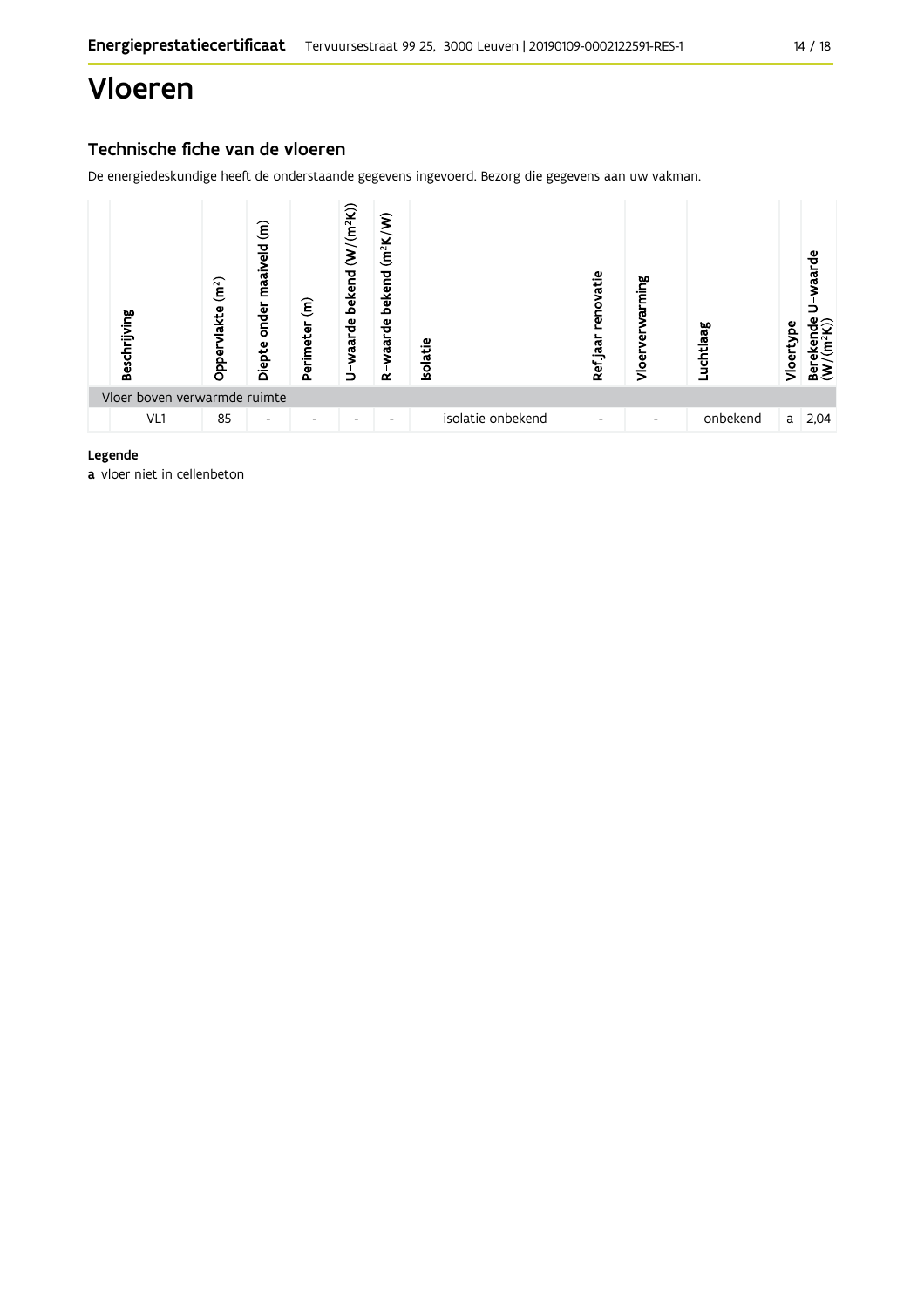## Vloeren

### Technische fiche van de vloeren

De energiedeskundige heeft de onderstaande gegevens ingevoerd. Bezorg die gegevens aan uw vakman.



#### Legende

a vloer niet in cellenbeton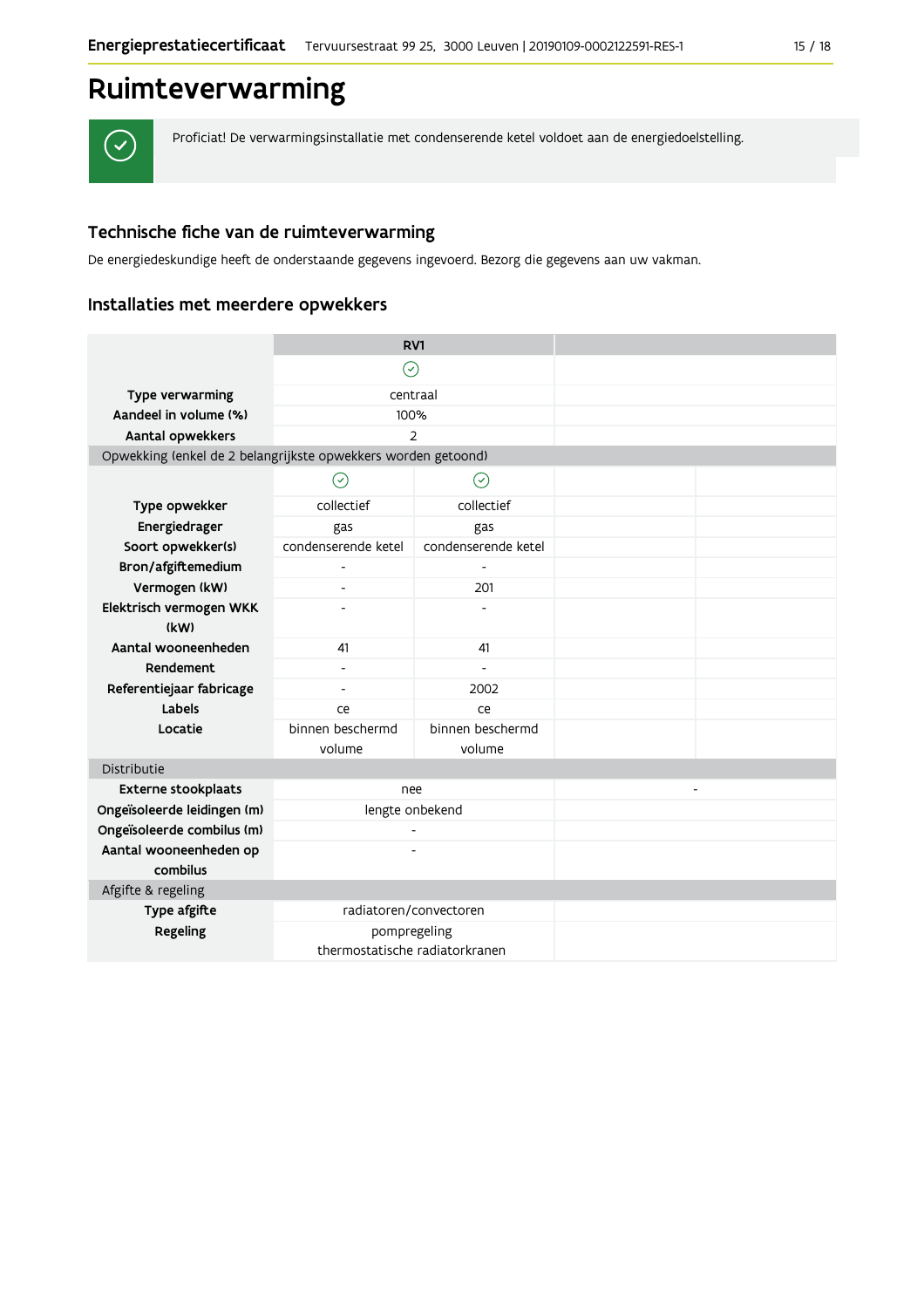## Ruimteverwarming

 $\checkmark$ 

Proficiat! De verwarmingsinstallatie met condenserende ketel voldoet aan de energiedoelstelling.

### Technische fiche van de ruimteverwarming

De energiedeskundige heeft de onderstaande gegevens ingevoerd. Bezorg die gegevens aan uw vakman.

#### Installaties met meerdere opwekkers

|                                                               | RV1                            |                     |                          |
|---------------------------------------------------------------|--------------------------------|---------------------|--------------------------|
|                                                               | $\left(  \right)$              |                     |                          |
| Type verwarming                                               | centraal                       |                     |                          |
| Aandeel in volume (%)                                         | 100%                           |                     |                          |
| Aantal opwekkers                                              | $\overline{2}$                 |                     |                          |
| Opwekking (enkel de 2 belangrijkste opwekkers worden getoond) |                                |                     |                          |
|                                                               | $(\check{\,})$                 | $(\check{\,})$      |                          |
| Type opwekker                                                 | collectief                     | collectief          |                          |
| Energiedrager                                                 | gas                            | gas                 |                          |
| Soort opwekker(s)                                             | condenserende ketel            | condenserende ketel |                          |
| Bron/afgiftemedium                                            |                                |                     |                          |
| Vermogen (kW)                                                 | $\blacksquare$                 | 201                 |                          |
| Elektrisch vermogen WKK                                       |                                |                     |                          |
| (kW)                                                          |                                |                     |                          |
| Aantal wooneenheden                                           | 41                             | 41                  |                          |
| Rendement                                                     | $\overline{a}$                 | $\overline{a}$      |                          |
| Referentiejaar fabricage                                      |                                | 2002                |                          |
| Labels                                                        | ce                             | ce                  |                          |
| Locatie                                                       | binnen beschermd               | binnen beschermd    |                          |
|                                                               | volume                         | volume              |                          |
| Distributie                                                   |                                |                     |                          |
| Externe stookplaats                                           | nee                            |                     | $\overline{\phantom{a}}$ |
| Ongeïsoleerde leidingen (m)                                   | lengte onbekend                |                     |                          |
| Ongeïsoleerde combilus (m)                                    |                                |                     |                          |
| Aantal wooneenheden op                                        |                                |                     |                          |
| combilus                                                      |                                |                     |                          |
| Afgifte & regeling                                            |                                |                     |                          |
| Type afgifte                                                  | radiatoren/convectoren         |                     |                          |
| Regeling                                                      | pompregeling                   |                     |                          |
|                                                               | thermostatische radiatorkranen |                     |                          |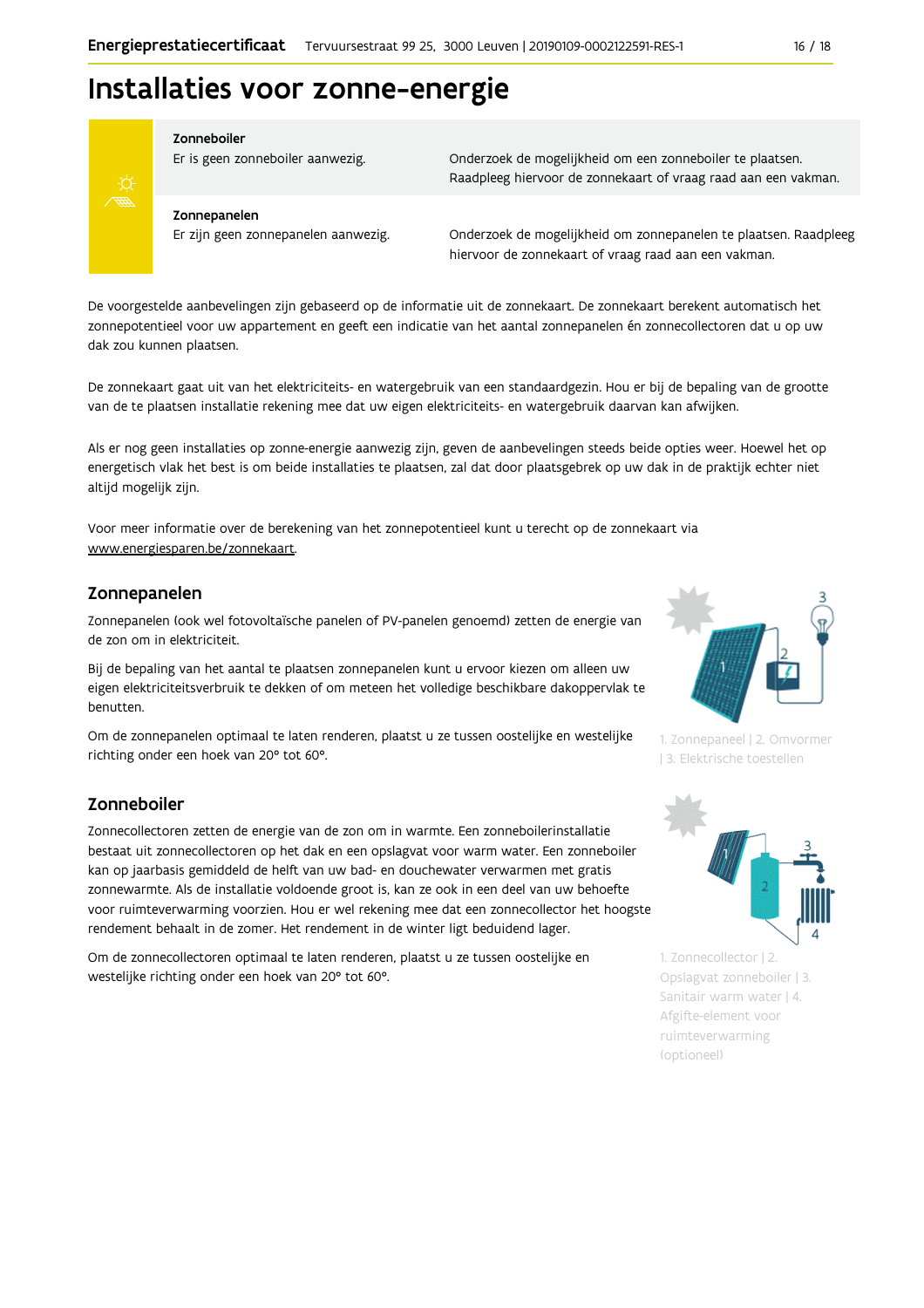

#### Zonneboiler

Er is geen zonneboiler aanwezig.

Onderzoek de mogelijkheid om een zonneboiler te plaatsen. Raadpleeg hiervoor de zonnekaart of vraag raad aan een vakman.

#### Zonnepanelen

Er zijn geen zonnepanelen aanwezig.

Onderzoek de mogelijkheid om zonnepanelen te plaatsen. Raadpleeg hiervoor de zonnekaart of vraag raad aan een vakman.

De voorgestelde aanbevelingen zijn gebaseerd op de informatie uit de zonnekaart. De zonnekaart berekent automatisch het zonnepotentieel voor uw appartement en geeft een indicatie van het aantal zonnepanelen én zonnecollectoren dat u op uw dak zou kunnen plaatsen.

De zonnekaart gaat uit van het elektriciteits- en watergebruik van een standaardgezin. Hou er bij de bepaling van de grootte van de te plaatsen installatie rekening mee dat uw eigen elektriciteits- en watergebruik daarvan kan afwijken.

Als er nog geen installaties op zonne-energie aanwezig zijn, geven de aanbevelingen steeds beide opties weer. Hoewel het op energetisch vlak het best is om beide installaties te plaatsen, zal dat door plaatsgebrek op uw dak in de praktijk echter niet altijd mogelijk zijn.

Voor meer informatie over de berekening van het zonnepotentieel kunt u terecht op de zonnekaart via www.energiesparen.be/zonnekaart

#### Zonnepanelen

Zonnepanelen (ook wel fotovoltaïsche panelen of PV-panelen genoemd) zetten de energie van de zon om in elektriciteit.

Bij de bepaling van het aantal te plaatsen zonnepanelen kunt u ervoor kiezen om alleen uw eigen elektriciteitsverbruik te dekken of om meteen het volledige beschikbare dakoppervlak te benutten.

Om de zonnepanelen optimaal te laten renderen, plaatst u ze tussen oostelijke en westelijke richting onder een hoek van 20° tot 60°.

#### Zonneboiler

Zonnecollectoren zetten de energie van de zon om in warmte. Een zonneboilerinstallatie bestaat uit zonnecollectoren op het dak en een opslagvat voor warm water. Een zonneboiler kan op jaarbasis gemiddeld de helft van uw bad- en douchewater verwarmen met gratis zonnewarmte. Als de installatie voldoende groot is, kan ze ook in een deel van uw behoefte voor ruimteverwarming voorzien. Hou er wel rekening mee dat een zonnecollector het hoogste rendement behaalt in de zomer. Het rendement in de winter ligt beduidend lager.

Om de zonnecollectoren optimaal te laten renderen, plaatst u ze tussen oostelijke en westelijke richting onder een hoek van 20° tot 60°.



1. Zonnepaneel | 2. Omvormer 13. Elektrische toestellen



1. Zonnecollector | 2. Opslagvat zonneboiler | 3. Sanitair warm water | 4. Afgifte-element voor ruimteverwarming (optioneel)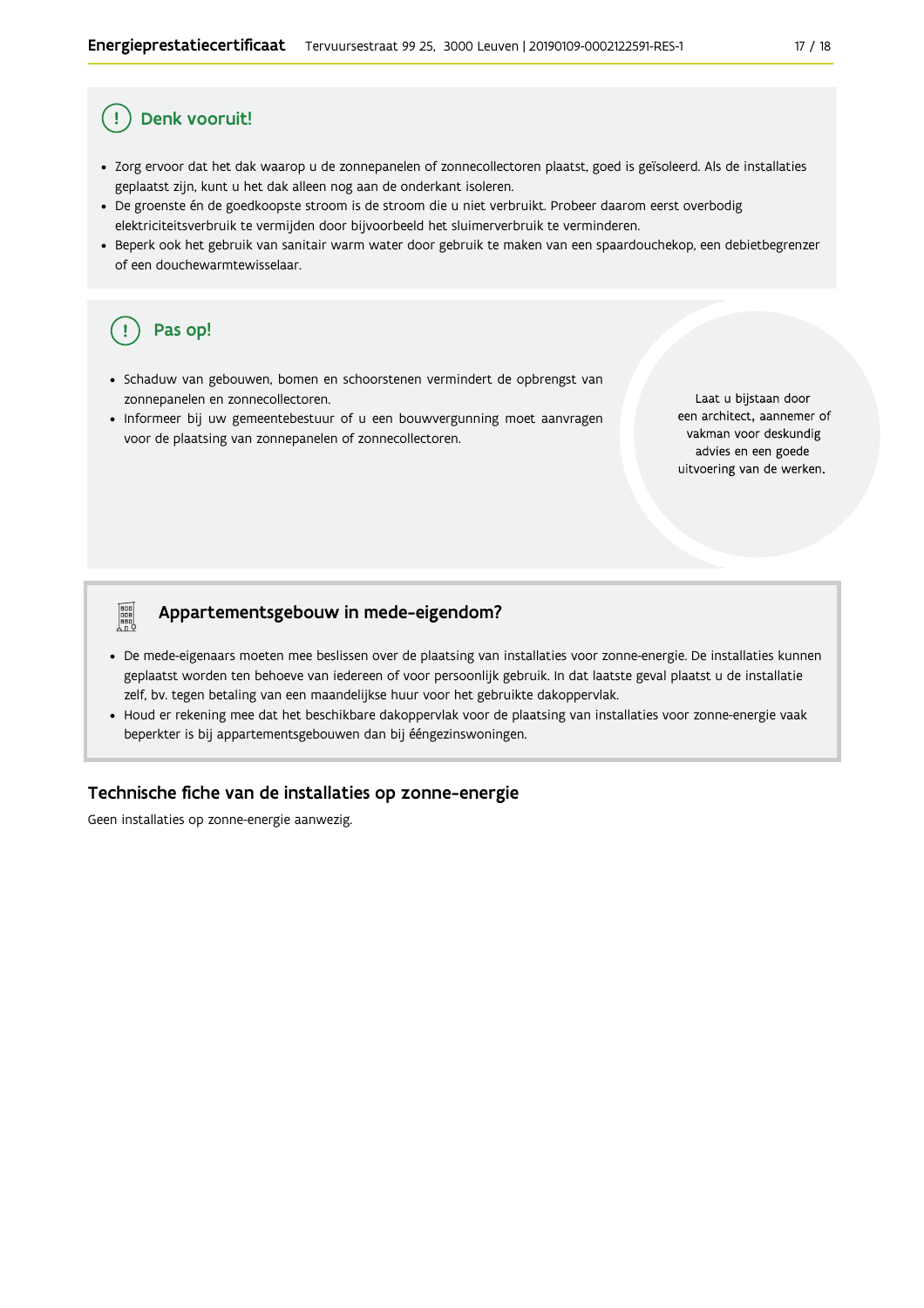### Denk vooruit!

- · Zorg ervoor dat het dak waarop u de zonnepanelen of zonnecollectoren plaatst, goed is geïsoleerd. Als de installaties geplaatst zijn, kunt u het dak alleen nog aan de onderkant isoleren.
- · De groenste én de goedkoopste stroom is de stroom die u niet verbruikt. Probeer daarom eerst overbodig elektriciteitsverbruik te vermijden door bijvoorbeeld het sluimerverbruik te verminderen.
- · Beperk ook het gebruik van sanitair warm water door gebruik te maken van een spaardouchekop, een debietbegrenzer of een douchewarmtewisselaar.

### Pas op!

**Property** 

- · Schaduw van gebouwen, bomen en schoorstenen vermindert de opbrengst van zonnepanelen en zonnecollectoren.
- · Informeer bij uw gemeentebestuur of u een bouwvergunning moet aanvragen voor de plaatsing van zonnepanelen of zonnecollectoren.

Laat u bijstaan door een architect, aannemer of vakman voor deskundig advies en een goede uitvoering van de werken.

#### Appartementsgebouw in mede-eigendom?

- De mede-eigenaars moeten mee beslissen over de plaatsing van installaties voor zonne-energie. De installaties kunnen geplaatst worden ten behoeve van iedereen of voor persoonlijk gebruik. In dat laatste geval plaatst u de installatie zelf, bv. tegen betaling van een maandelijkse huur voor het gebruikte dakoppervlak.
- Houd er rekening mee dat het beschikbare dakoppervlak voor de plaatsing van installaties voor zonne-energie vaak beperkter is bij appartementsgebouwen dan bij ééngezinswoningen.

#### Technische fiche van de installaties op zonne-energie

Geen installaties op zonne-energie aanwezig.